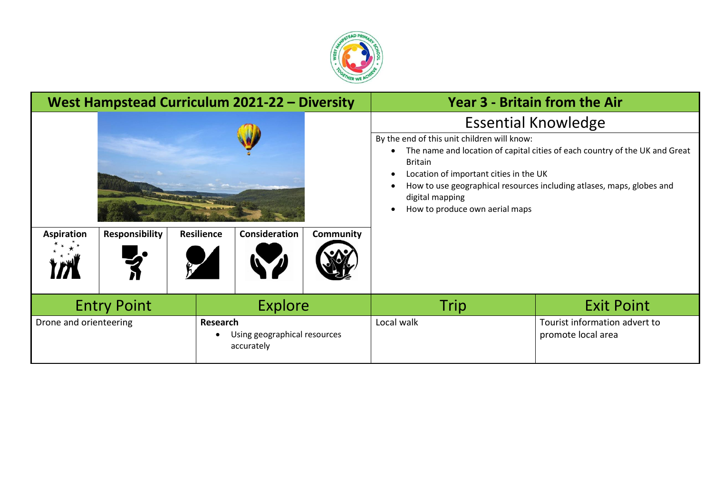

| West Hampstead Curriculum 2021-22 - Diversity |                       |                   |                                                                          |           | <b>Year 3 - Britain from the Air</b>                                                                                                                                      |                                                                                                                                                                                    |
|-----------------------------------------------|-----------------------|-------------------|--------------------------------------------------------------------------|-----------|---------------------------------------------------------------------------------------------------------------------------------------------------------------------------|------------------------------------------------------------------------------------------------------------------------------------------------------------------------------------|
| <b>Aspiration</b>                             | <b>Responsibility</b> | <b>Resilience</b> | Consideration                                                            | Community | By the end of this unit children will know:<br>$\bullet$<br><b>Britain</b><br>Location of important cities in the UK<br>digital mapping<br>How to produce own aerial maps | <b>Essential Knowledge</b><br>The name and location of capital cities of each country of the UK and Great<br>How to use geographical resources including atlases, maps, globes and |
| <b>Entry Point</b><br>Drone and orienteering  |                       |                   | <b>Explore</b><br>Research<br>Using geographical resources<br>accurately |           | Trip<br>Local walk                                                                                                                                                        | <b>Exit Point</b><br>Tourist information advert to<br>promote local area                                                                                                           |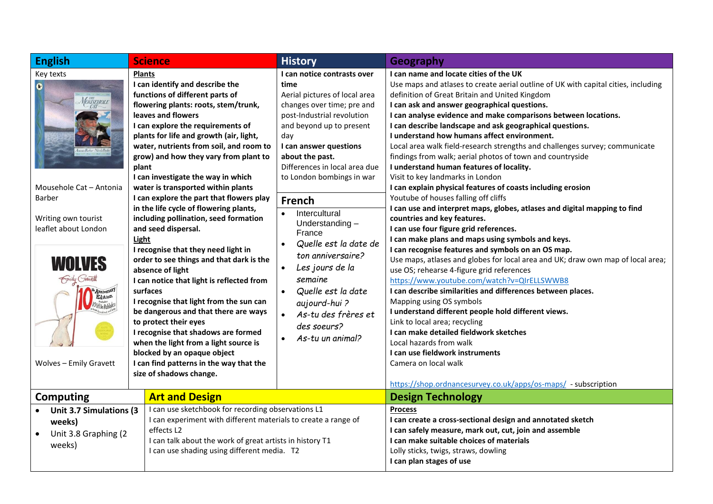| <b>English</b>                                                                                                                                                                                                                   | <b>Science</b>                                                                                                                                                                                                                                                                                                                                                                                                                                                                                                                                                                                                                                                                                                                                                                                                                                                                                                                                                                                                  | <b>History</b>                                                                                                                                                                                                                                                                                                                                                                                                                                                                                                                                     | Geography                                                                                                                                                                                                                                                                                                                                                                                                                                                                                                                                                                                                                                                                                                                                                                                                                                                                                                                                                                                                                                                                                                                                                                                                                                                                                                                                                                                                                                                                                                         |
|----------------------------------------------------------------------------------------------------------------------------------------------------------------------------------------------------------------------------------|-----------------------------------------------------------------------------------------------------------------------------------------------------------------------------------------------------------------------------------------------------------------------------------------------------------------------------------------------------------------------------------------------------------------------------------------------------------------------------------------------------------------------------------------------------------------------------------------------------------------------------------------------------------------------------------------------------------------------------------------------------------------------------------------------------------------------------------------------------------------------------------------------------------------------------------------------------------------------------------------------------------------|----------------------------------------------------------------------------------------------------------------------------------------------------------------------------------------------------------------------------------------------------------------------------------------------------------------------------------------------------------------------------------------------------------------------------------------------------------------------------------------------------------------------------------------------------|-------------------------------------------------------------------------------------------------------------------------------------------------------------------------------------------------------------------------------------------------------------------------------------------------------------------------------------------------------------------------------------------------------------------------------------------------------------------------------------------------------------------------------------------------------------------------------------------------------------------------------------------------------------------------------------------------------------------------------------------------------------------------------------------------------------------------------------------------------------------------------------------------------------------------------------------------------------------------------------------------------------------------------------------------------------------------------------------------------------------------------------------------------------------------------------------------------------------------------------------------------------------------------------------------------------------------------------------------------------------------------------------------------------------------------------------------------------------------------------------------------------------|
| Key texts<br>$\bullet$<br>MOUSEHOLE<br>Mousehole Cat - Antonia<br><b>Barber</b><br>Writing own tourist<br>leaflet about London<br>WOLVES<br>Smily Gravett<br>Anniversary<br>Edition<br>Olittle Robbits<br>Wolves - Emily Gravett | <b>Plants</b><br>I can identify and describe the<br>functions of different parts of<br>flowering plants: roots, stem/trunk,<br>leaves and flowers<br>I can explore the requirements of<br>plants for life and growth (air, light,<br>water, nutrients from soil, and room to<br>grow) and how they vary from plant to<br>plant<br>I can investigate the way in which<br>water is transported within plants<br>I can explore the part that flowers play<br>in the life cycle of flowering plants,<br>including pollination, seed formation<br>and seed dispersal.<br>Light<br>I recognise that they need light in<br>order to see things and that dark is the<br>absence of light<br>I can notice that light is reflected from<br>surfaces<br>I recognise that light from the sun can<br>be dangerous and that there are ways<br>to protect their eyes<br>I recognise that shadows are formed<br>when the light from a light source is<br>blocked by an opaque object<br>I can find patterns in the way that the | I can notice contrasts over<br>time<br>Aerial pictures of local area<br>changes over time; pre and<br>post-Industrial revolution<br>and beyond up to present<br>day<br>I can answer questions<br>about the past.<br>Differences in local area due<br>to London bombings in war<br><b>French</b><br>Intercultural<br>Understanding-<br>France<br>Quelle est la date de<br>$\bullet$<br>ton anniversaire?<br>Les jours de la<br>$\bullet$<br>semaine<br>Quelle est la date<br>aujourd-hui?<br>As-tu des frères et<br>des soeurs?<br>As-tu un animal? | I can name and locate cities of the UK<br>Use maps and atlases to create aerial outline of UK with capital cities, including<br>definition of Great Britain and United Kingdom<br>I can ask and answer geographical questions.<br>I can analyse evidence and make comparisons between locations.<br>I can describe landscape and ask geographical questions.<br>I understand how humans affect environment.<br>Local area walk field-research strengths and challenges survey; communicate<br>findings from walk; aerial photos of town and countryside<br>I understand human features of locality.<br>Visit to key landmarks in London<br>I can explain physical features of coasts including erosion<br>Youtube of houses falling off cliffs<br>I can use and interpret maps, globes, atlases and digital mapping to find<br>countries and key features.<br>I can use four figure grid references.<br>I can make plans and maps using symbols and keys.<br>I can recognise features and symbols on an OS map.<br>Use maps, atlases and globes for local area and UK; draw own map of local area;<br>use OS; rehearse 4-figure grid references<br>https://www.youtube.com/watch?v=QIrELLSWWB8<br>I can describe similarities and differences between places.<br>Mapping using OS symbols<br>I understand different people hold different views.<br>Link to local area; recycling<br>I can make detailed fieldwork sketches<br>Local hazards from walk<br>I can use fieldwork instruments<br>Camera on local walk |
|                                                                                                                                                                                                                                  | size of shadows change.                                                                                                                                                                                                                                                                                                                                                                                                                                                                                                                                                                                                                                                                                                                                                                                                                                                                                                                                                                                         |                                                                                                                                                                                                                                                                                                                                                                                                                                                                                                                                                    | https://shop.ordnancesurvey.co.uk/apps/os-maps/ - subscription                                                                                                                                                                                                                                                                                                                                                                                                                                                                                                                                                                                                                                                                                                                                                                                                                                                                                                                                                                                                                                                                                                                                                                                                                                                                                                                                                                                                                                                    |
| <b>Art and Design</b><br><b>Computing</b>                                                                                                                                                                                        |                                                                                                                                                                                                                                                                                                                                                                                                                                                                                                                                                                                                                                                                                                                                                                                                                                                                                                                                                                                                                 |                                                                                                                                                                                                                                                                                                                                                                                                                                                                                                                                                    | <b>Design Technology</b>                                                                                                                                                                                                                                                                                                                                                                                                                                                                                                                                                                                                                                                                                                                                                                                                                                                                                                                                                                                                                                                                                                                                                                                                                                                                                                                                                                                                                                                                                          |
| Unit 3.7 Simulations (3<br>weeks)<br>Unit 3.8 Graphing (2<br>weeks)                                                                                                                                                              | I can use sketchbook for recording observations L1<br>I can experiment with different materials to create a range of<br>effects L2<br>I can talk about the work of great artists in history T1<br>I can use shading using different media. T2                                                                                                                                                                                                                                                                                                                                                                                                                                                                                                                                                                                                                                                                                                                                                                   |                                                                                                                                                                                                                                                                                                                                                                                                                                                                                                                                                    | <b>Process</b><br>I can create a cross-sectional design and annotated sketch<br>I can safely measure, mark out, cut, join and assemble<br>I can make suitable choices of materials<br>Lolly sticks, twigs, straws, dowling<br>I can plan stages of use                                                                                                                                                                                                                                                                                                                                                                                                                                                                                                                                                                                                                                                                                                                                                                                                                                                                                                                                                                                                                                                                                                                                                                                                                                                            |